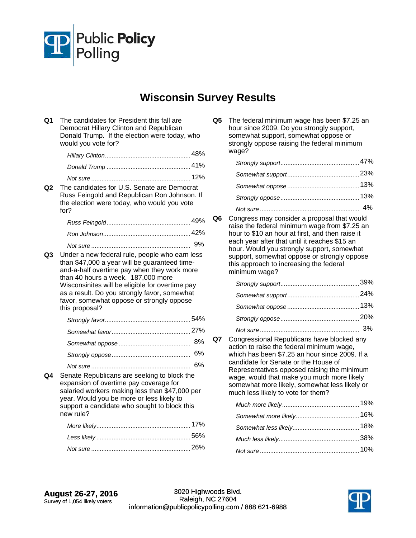

## **Wisconsin Survey Results**

| Q1             | The candidates for President this fall are<br>Democrat Hillary Clinton and Republican<br>Donald Trump. If the election were today, who<br>would you vote for?                                                                                                                                                                                          |    |
|----------------|--------------------------------------------------------------------------------------------------------------------------------------------------------------------------------------------------------------------------------------------------------------------------------------------------------------------------------------------------------|----|
|                |                                                                                                                                                                                                                                                                                                                                                        |    |
|                |                                                                                                                                                                                                                                                                                                                                                        |    |
|                |                                                                                                                                                                                                                                                                                                                                                        |    |
| Q2             | The candidates for U.S. Senate are Democrat<br>Russ Feingold and Republican Ron Johnson. If<br>the election were today, who would you vote<br>for?                                                                                                                                                                                                     |    |
|                |                                                                                                                                                                                                                                                                                                                                                        |    |
|                |                                                                                                                                                                                                                                                                                                                                                        |    |
| Q <sub>3</sub> | Under a new federal rule, people who earn less<br>than \$47,000 a year will be guaranteed time-<br>and-a-half overtime pay when they work more<br>than 40 hours a week. 187,000 more<br>Wisconsinites will be eligible for overtime pay<br>as a result. Do you strongly favor, somewhat<br>favor, somewhat oppose or strongly oppose<br>this proposal? | 9% |
|                |                                                                                                                                                                                                                                                                                                                                                        |    |
|                |                                                                                                                                                                                                                                                                                                                                                        |    |
|                |                                                                                                                                                                                                                                                                                                                                                        | 8% |
|                |                                                                                                                                                                                                                                                                                                                                                        | 6% |
|                |                                                                                                                                                                                                                                                                                                                                                        | 6% |
| Q4             | Senate Republicans are seeking to block the<br>expansion of overtime pay coverage for<br>salaried workers making less than \$47,000 per<br>year. Would you be more or less likely to<br>support a candidate who sought to block this<br>new rule?                                                                                                      |    |
|                |                                                                                                                                                                                                                                                                                                                                                        |    |
|                |                                                                                                                                                                                                                                                                                                                                                        |    |
|                |                                                                                                                                                                                                                                                                                                                                                        |    |

**Q5** The federal minimum wage has been \$7.25 an hour since 2009. Do you strongly support, somewhat support, somewhat oppose or strongly oppose raising the federal minimum wage?

**Q6** Congress may consider a proposal that would raise the federal minimum wage from \$7.25 an hour to \$10 an hour at first, and then raise it each year after that until it reaches \$15 an hour. Would you strongly support, somewhat support, somewhat oppose or strongly oppose this approach to increasing the federal minimum wage?

**Q7** Congressional Republicans have blocked any action to raise the federal minimum wage, which has been \$7.25 an hour since 2009. If a candidate for Senate or the House of Representatives opposed raising the minimum wage, would that make you much more likely somewhat more likely, somewhat less likely or much less likely to vote for them?

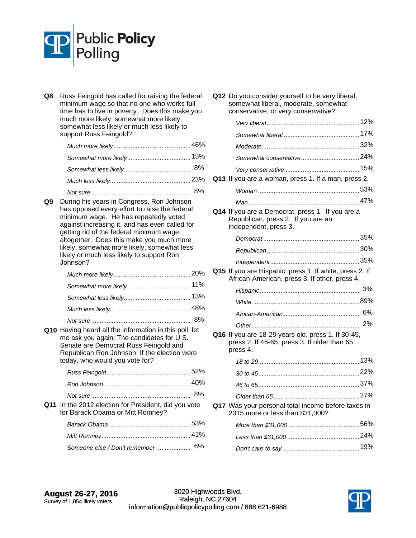

**Q8** Russ Feingold has called for raising the federal minimum wage so that no one who works full time has to live in poverty. Does this make you much more likely, somewhat more likely, somewhat less likely or much less likely to support Russ Feingold?

**Q9** During his years in Congress, Ron Johnson has opposed every effort to raise the federal minimum wage. He has repeatedly voted against increasing it, and has even called for getting rid of the federal minimum wage altogether. Does this make you much more likely, somewhat more likely, somewhat less likely or much less likely to support Ron Johnson?

*Not sure* 8% .......................................................... **Q10** Having heard all the information in this poll, let me ask you again: The candidates for U.S. Senate are Democrat Russ Feingold and Republican Ron Johnson. If the election were today, who would you vote for?

**Q11** In the 2012 election for President, did you vote for Barack Obama or Mitt Romney? *Barack Obama* 53% ................................................

|                                   | 41% |
|-----------------------------------|-----|
| Someone else / Don't remember  6% |     |

**Q12** Do you consider yourself to be very liberal, somewhat liberal, moderate, somewhat conservative, or very conservative?

| CONSERVANTE, OF VETY CONSERVANTE!                                                                               |    |
|-----------------------------------------------------------------------------------------------------------------|----|
|                                                                                                                 |    |
|                                                                                                                 |    |
|                                                                                                                 |    |
|                                                                                                                 |    |
|                                                                                                                 |    |
| Q13 If you are a woman, press 1. If a man, press 2.                                                             |    |
|                                                                                                                 |    |
|                                                                                                                 |    |
| Q14 If you are a Democrat, press 1. If you are a<br>Republican, press 2. If you are an<br>independent, press 3. |    |
|                                                                                                                 |    |
|                                                                                                                 |    |
|                                                                                                                 |    |
| Q15 If you are Hispanic, press 1. If white, press 2. If<br>African-American, press 3. If other, press 4.        |    |
|                                                                                                                 |    |
|                                                                                                                 |    |
|                                                                                                                 | 6% |
|                                                                                                                 | 2% |
| Q16 If you are 18-29 years old, press 1. If 30-45,<br>press 2. If 46-65, press 3. If older than 65,<br>press 4. |    |
|                                                                                                                 |    |
|                                                                                                                 |    |
|                                                                                                                 |    |
|                                                                                                                 |    |
| Q17 Was your personal total income before taxes in<br>2015 more or less than \$31,000?                          |    |
|                                                                                                                 |    |
|                                                                                                                 |    |
|                                                                                                                 |    |

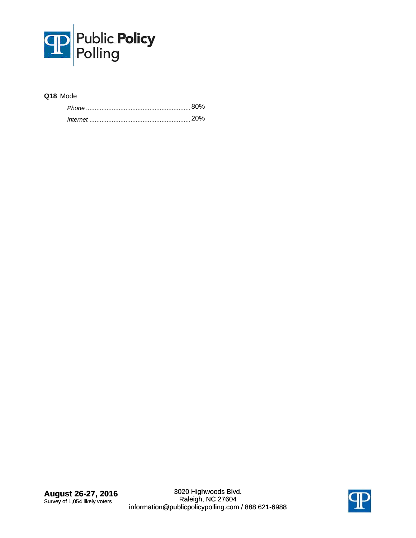

## **Q18** Mode

| 80%    |
|--------|
| .טרוכי |

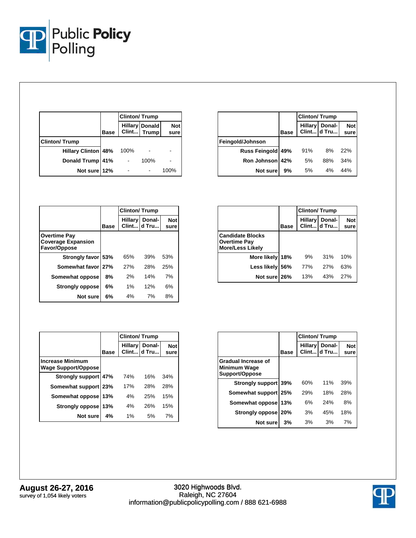

|                            |             | <b>Clinton/Trump</b> |                               |                    |
|----------------------------|-------------|----------------------|-------------------------------|--------------------|
|                            | <b>Base</b> |                      | Hillary Donald<br>Clint Trump | <b>Not</b><br>sure |
| <b>Clinton/Trump</b>       |             |                      |                               |                    |
| <b>Hillary Clinton 48%</b> |             | 100%                 |                               |                    |
| Donald Trump               | 41%         |                      | 100%                          |                    |
| Not sure 12%               |             |                      |                               | 100%               |

|                   |             | <b>Clinton/Trump</b> |                               |                    |
|-------------------|-------------|----------------------|-------------------------------|--------------------|
|                   | <b>Base</b> |                      | Hillary Donal-<br>Clint d Tru | <b>Not</b><br>sure |
| Feingold/Johnson  |             |                      |                               |                    |
| Russ Feingold 49% |             | 91%                  | 8%                            | 22%                |
| Ron Johnson 42%   |             | 5%                   | 88%                           | 34%                |
| Not sure          | 9%          | 5%                   | 4%                            | 44%                |

|                                                                  |             | <b>Clinton/Trump</b> |                       |                    |
|------------------------------------------------------------------|-------------|----------------------|-----------------------|--------------------|
|                                                                  | <b>Base</b> | <b>Hillary</b>       | Donal-<br>Clint d Tru | <b>Not</b><br>sure |
| <b>Overtime Pay</b><br><b>Coverage Expansion</b><br>Favor/Oppose |             |                      |                       |                    |
| Strongly favor 53%                                               |             | 65%                  | 39%                   | 53%                |
| Somewhat favor 27%                                               |             | 27%                  | 28%                   | 25%                |
| Somewhat oppose                                                  | 8%          | 2%                   | 14%                   | 7%                 |
| <b>Strongly oppose</b>                                           | 6%          | $1\%$                | 12%                   | 6%                 |
| Not sure                                                         | 6%          | 4%                   | 7%                    | 8%                 |

|                                                       |             | <b>Clinton/Trump</b> |                       |                    |
|-------------------------------------------------------|-------------|----------------------|-----------------------|--------------------|
|                                                       | <b>Base</b> | <b>Hillary</b>       | Donal-<br>Clint d Tru | <b>Not</b><br>sure |
| <b>Increase Minimum</b><br><b>Wage Support/Oppose</b> |             |                      |                       |                    |
| Strongly support 47%                                  |             | 74%                  | 16%                   | 34%                |
| Somewhat support 23%                                  |             | 17%                  | 28%                   | 28%                |
| Somewhat oppose                                       | 13%         | 4%                   | 25%                   | 15%                |
| <b>Strongly oppose</b>                                | 13%         | 4%                   | 26%                   | 15%                |
| Not sure                                              | 4%          | 1%                   | 5%                    | 7%                 |

|                                                                           | <b>Base</b> |     | Hillary Donal-<br>Clint d Tru | <b>Not</b><br>sure |
|---------------------------------------------------------------------------|-------------|-----|-------------------------------|--------------------|
| <b>Candidate Blocks</b><br><b>Overtime Pay</b><br><b>More/Less Likely</b> |             |     |                               |                    |
| More likely                                                               | 18%         | 9%  | 31%                           | 10%                |
| Less likely                                                               | 56%         | 77% | 27%                           | 63%                |
| Not sure 26%                                                              |             | 13% | 43%                           | 27%                |

|                                                              |      | <b>Clinton/Trump</b>    |                 |                    |
|--------------------------------------------------------------|------|-------------------------|-----------------|--------------------|
|                                                              | Base | <b>Hillary</b><br>Clint | Donal-<br>d Tru | <b>Not</b><br>sure |
| Gradual Increase of<br><b>Minimum Wage</b><br>Support/Oppose |      |                         |                 |                    |
| Strongly support 39%                                         |      | 60%                     | 11%             | 39%                |
| Somewhat support 25%                                         |      | 29%                     | 18%             | 28%                |
| Somewhat oppose                                              | 13%  | 6%                      | 24%             | 8%                 |
| <b>Strongly oppose</b>                                       | 20%  | 3%                      | 45%             | 18%                |
| Not sure                                                     | 3%   | 3%                      | 3%              | 7%                 |

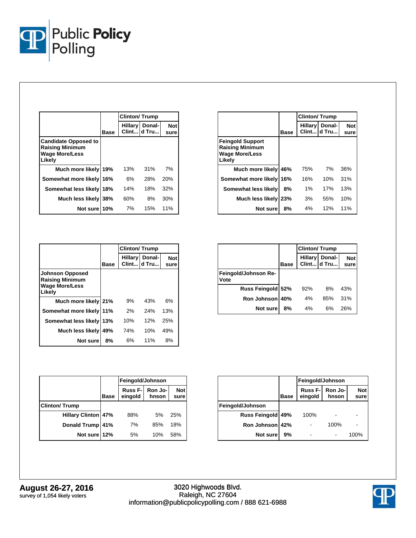

|                                                                                          |             | <b>Clinton/Trump</b> |                                 |                    |
|------------------------------------------------------------------------------------------|-------------|----------------------|---------------------------------|--------------------|
|                                                                                          | <b>Base</b> |                      | Hillary   Donal-<br>Clint d Tru | <b>Not</b><br>sure |
| <b>Candidate Opposed to</b><br><b>Raising Minimum</b><br><b>Wage More/Less</b><br>Likely |             |                      |                                 |                    |
| Much more likely 19%                                                                     |             | 13%                  | 31%                             | 7%                 |
| Somewhat more likely 16%                                                                 |             | 6%                   | 28%                             | <b>20%</b>         |
| Somewhat less likely                                                                     | 18%         | 14%                  | 18%                             | 32%                |
| Much less likely 38%                                                                     |             | 60%                  | 8%                              | 30%                |
| Not sure 10%                                                                             |             | 7%                   | 15%                             | 11%                |

|                                                                               |      | <b>Clinton/Trump</b> |                               |                    |
|-------------------------------------------------------------------------------|------|----------------------|-------------------------------|--------------------|
|                                                                               | Base |                      | Hillary Donal-<br>Clint d Tru | <b>Not</b><br>sure |
| <b>Feingold Support</b><br>Raising Minimum<br><b>Wage More/Less</b><br>Likely |      |                      |                               |                    |
| Much more likely                                                              | 46%  | 75%                  | 7%                            | 36%                |
| Somewhat more likely 16%                                                      |      | 16%                  | 10%                           | 31%                |
| Somewhat less likely                                                          | 8%   | 1%                   | 17%                           | 13%                |
| Much less likely 23%                                                          |      | 3%                   | 55%                           | 10%                |
| Not sure                                                                      | 8%   | 4%                   | 12%                           | 11%                |

|                                                                                     |             | <b>Clinton/Trump</b> |                                  |                    |
|-------------------------------------------------------------------------------------|-------------|----------------------|----------------------------------|--------------------|
|                                                                                     | <b>Base</b> |                      | Hillary   Donal-<br>Clint Id Tru | <b>Not</b><br>sure |
| <b>Johnson Opposed</b><br><b>Raising Minimum</b><br><b>Wage More/Less</b><br>Likely |             |                      |                                  |                    |
| Much more likely 21%                                                                |             | 9%                   | 43%                              | 6%                 |
| Somewhat more likely                                                                | 11%         | 2%                   | 24%                              | 13%                |
| Somewhat less likely                                                                | 13%         | 10%                  | 12%                              | 25%                |
| <b>Much less likely</b>                                                             | 49%         | 74%                  | 10%                              | 49%                |
| Not sure                                                                            | 8%          | 6%                   | 11%                              | 8%                 |

|                              |             | <b>Clinton/Trump</b> |                                      |                    |
|------------------------------|-------------|----------------------|--------------------------------------|--------------------|
|                              | <b>Base</b> |                      | <b>Hillary</b> Donal-<br>Clint d Tru | <b>Not</b><br>sure |
| Feingold/Johnson Re-<br>Vote |             |                      |                                      |                    |
| Russ Feingold 52%            |             | 92%                  | 8%                                   | 43%                |
| Ron Johnson                  | 40%         | 4%                   | 85%                                  | 31%                |
| Not sure                     | 8%          | 4%                   | 6%                                   | 26%                |

|                            |             | Feingold/Johnson              |                  |                    |
|----------------------------|-------------|-------------------------------|------------------|--------------------|
|                            | <b>Base</b> | Russ <sub>F-</sub><br>eingold | Ron Jo-<br>hnson | <b>Not</b><br>sure |
| <b>Clinton/Trump</b>       |             |                               |                  |                    |
| <b>Hillary Clinton 47%</b> |             | 88%                           | 5%               | 25%                |
| <b>Donald Trump</b>        | 41%         | 7%                            | 85%              | 18%                |
| Not sure 12%               |             | 5%                            | 10%              | 58%                |

|                      | Feingold/Johnson |                            |                  |                    |
|----------------------|------------------|----------------------------|------------------|--------------------|
|                      | <b>Base</b>      | <b>Russ F-I</b><br>eingold | Ron Jo-<br>hnson | <b>Not</b><br>sure |
| Feingold/Johnson     |                  |                            |                  |                    |
| <b>Russ Feingold</b> | 49%              | 100%                       |                  |                    |
| Ron Johnson 42%      |                  |                            | 100%             |                    |
| Not sure             | 9%               |                            |                  | 100%               |

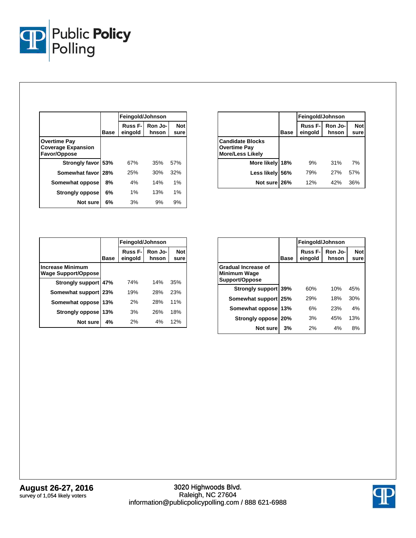

|                                                                  |             | Feingold/Johnson               |                  |                    |
|------------------------------------------------------------------|-------------|--------------------------------|------------------|--------------------|
|                                                                  | <b>Base</b> | Russ <sub>F</sub> -<br>eingold | Ron Jo-<br>hnson | <b>Not</b><br>sure |
| <b>Overtime Pay</b><br><b>Coverage Expansion</b><br>Favor/Oppose |             |                                |                  |                    |
| Strongly favor 53%                                               |             | 67%                            | 35%              | 57%                |
| Somewhat favor 28%                                               |             | 25%                            | 30%              | 32%                |
| Somewhat oppose                                                  | 8%          | 4%                             | 14%              | $1\%$              |
| <b>Strongly oppose</b>                                           | 6%          | 1%                             | 13%              | 1%                 |
| Not sure                                                         | 6%          | 3%                             | 9%               | 9%                 |

|                                                                           |             | Feingold/Johnson    |                  |                    |
|---------------------------------------------------------------------------|-------------|---------------------|------------------|--------------------|
|                                                                           | <b>Base</b> | Russ F-I<br>eingold | Ron Jo-<br>hnson | <b>Not</b><br>sure |
| <b>Candidate Blocks</b><br><b>Overtime Pay</b><br><b>More/Less Likely</b> |             |                     |                  |                    |
| More likely                                                               | 18%         | 9%                  | 31%              | 7%                 |
| Less likely                                                               | 56%         | 79%                 | 27%              | 57%                |
| Not sure 26%                                                              |             | 12%                 | 42%              | 36%                |

|                                                       |             | Feingold/Johnson               |                  |                    |  |
|-------------------------------------------------------|-------------|--------------------------------|------------------|--------------------|--|
|                                                       | <b>Base</b> | Russ <sub>F</sub> -<br>eingold | Ron Jo-<br>hnson | <b>Not</b><br>sure |  |
| <b>Increase Minimum</b><br><b>Wage Support/Oppose</b> |             |                                |                  |                    |  |
| <b>Strongly support</b>                               | 47%         | 74%                            | 14%              | 35%                |  |
| Somewhat support 23%                                  |             | 19%                            | 28%              | 23%                |  |
| Somewhat oppose                                       | 13%         | 2%                             | 28%              | 11%                |  |
| <b>Strongly oppose</b>                                | 13%         | 3%                             | 26%              | 18%                |  |
| Not sure                                              | 4%          | 2%                             | 4%               | 12%                |  |

|                                                              |             | Feingold/Johnson               |                  |                    |
|--------------------------------------------------------------|-------------|--------------------------------|------------------|--------------------|
|                                                              | <b>Base</b> | Russ <sub>F</sub> -<br>eingold | Ron Jo-<br>hnson | <b>Not</b><br>sure |
| Gradual Increase of<br><b>Minimum Wage</b><br>Support/Oppose |             |                                |                  |                    |
| Strongly support 39%                                         |             | 60%                            | 10%              | 45%                |
| Somewhat support 25%                                         |             | 29%                            | 18%              | 30%                |
| Somewhat oppose                                              | 13%         | 6%                             | 23%              | 4%                 |
| Strongly oppose                                              | 20%         | 3%                             | 45%              | 13%                |
| Not sure                                                     | 3%          | 2%                             | 4%               | 8%                 |

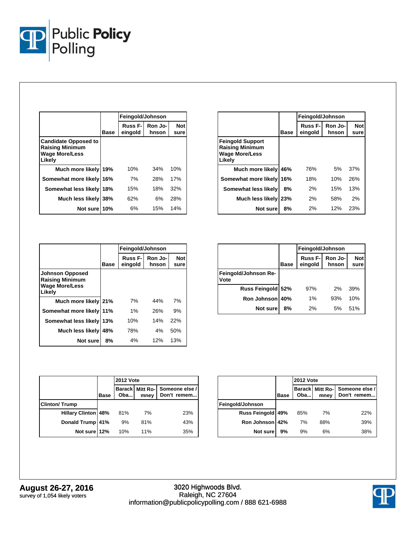

|                                                                                          |      | Feingold/Johnson               |                  |                    |
|------------------------------------------------------------------------------------------|------|--------------------------------|------------------|--------------------|
|                                                                                          | Base | Russ <sub>F-I</sub><br>eingold | Ron Jo-<br>hnson | <b>Not</b><br>sure |
| <b>Candidate Opposed to</b><br><b>Raising Minimum</b><br><b>Wage More/Less</b><br>Likely |      |                                |                  |                    |
| Much more likely 19%                                                                     |      | 10%                            | 34%              | 10%                |
| Somewhat more likely 16%                                                                 |      | 7%                             | 28%              | 17%                |
| Somewhat less likely                                                                     | 18%  | 15%                            | 18%              | 32%                |
| Much less likely                                                                         | 38%  | 62%                            | 6%               | 28%                |
| Not sure 10%                                                                             |      | 6%                             | 15%              | 14%                |

|                                                                                      |             | Feingold/Johnson           |                  |                    |
|--------------------------------------------------------------------------------------|-------------|----------------------------|------------------|--------------------|
|                                                                                      | <b>Base</b> | <b>Russ F-I</b><br>eingold | Ron Jo-<br>hnson | <b>Not</b><br>sure |
| <b>Feingold Support</b><br><b>Raising Minimum</b><br><b>Wage More/Less</b><br>Likely |             |                            |                  |                    |
| Much more likely                                                                     | 46%         | 76%                        | 5%               | 37%                |
| Somewhat more likely                                                                 | 16%         | 18%                        | 10%              | 26%                |
| Somewhat less likely                                                                 | 8%          | 2%                         | 15%              | 13%                |
| Much less likely                                                                     | 23%         | 2%                         | 58%              | 2%                 |
| Not sure                                                                             | 8%          | 2%                         | 12%              | 23%                |

|                                                                                     |      | Feingold/Johnson               |                  |                    |  |
|-------------------------------------------------------------------------------------|------|--------------------------------|------------------|--------------------|--|
|                                                                                     | Base | Russ <sub>F-1</sub><br>eingold | Ron Jo-<br>hnson | <b>Not</b><br>sure |  |
| <b>Johnson Opposed</b><br><b>Raising Minimum</b><br><b>Wage More/Less</b><br>Likely |      |                                |                  |                    |  |
| Much more likely 21%                                                                |      | 7%                             | 44%              | 7%                 |  |
| Somewhat more likely                                                                | 11%  | $1\%$                          | 26%              | 9%                 |  |
| Somewhat less likely                                                                | 13%  | 10%                            | 14%              | 22%                |  |
| Much less likely                                                                    | 48%  | 78%                            | $4\%$            | 50%                |  |
| Not sure                                                                            | 8%   | 4%                             | 12%              | 13%                |  |

|                              |             | Feingold/Johnson           |                  |                    |  |
|------------------------------|-------------|----------------------------|------------------|--------------------|--|
|                              | <b>Base</b> | <b>Russ F-I</b><br>eingold | Ron Jo-<br>hnson | <b>Not</b><br>sure |  |
| Feingold/Johnson Re-<br>Vote |             |                            |                  |                    |  |
| Russ Feingold 52%            |             | 97%                        | 2%               | 39%                |  |
| Ron Johnson 40%              |             | $1\%$                      | 93%              | 10%                |  |
| Not sure                     | 8%          | 2%                         | 5%               | 51%                |  |

|                            |             | <b>2012 Vote</b> |                                 |                               |
|----------------------------|-------------|------------------|---------------------------------|-------------------------------|
|                            | <b>Base</b> | Oba              | <b>Barack Mitt Ro-I</b><br>mney | Someone else /<br>Don't remem |
| <b>Clinton/Trump</b>       |             |                  |                                 |                               |
| <b>Hillary Clinton 48%</b> |             | 81%              | 7%                              | 23%                           |
| Donald Trump 41%           |             | 9%               | 81%                             | 43%                           |
| Not sure 12%               |             | 10%              | 11%                             | 35%                           |

|                   |             | <b>2012 Vote</b> |                         |                               |
|-------------------|-------------|------------------|-------------------------|-------------------------------|
|                   | <b>Base</b> | Oba              | Barack Mitt Ro-<br>mney | Someone else /<br>Don't remem |
| Feingold/Johnson  |             |                  |                         |                               |
| Russ Feingold 49% |             | 85%              | 7%                      | 22%                           |
| Ron Johnson 42%   |             | 7%               | 88%                     | 39%                           |
| Not sure          | 9%          | 9%               | 6%                      | 38%                           |

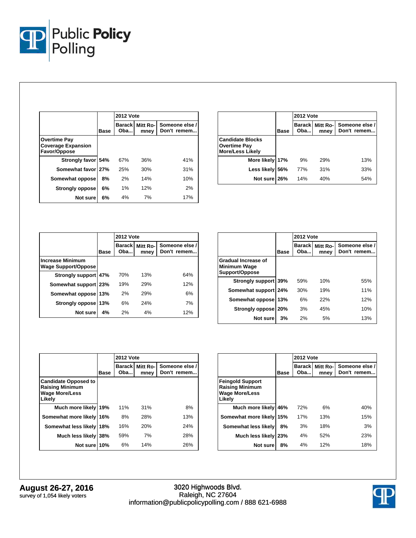

|                                                                  |      | <b>2012 Vote</b>     |                  |                               |  |
|------------------------------------------------------------------|------|----------------------|------------------|-------------------------------|--|
|                                                                  | Base | <b>Barack</b><br>Oba | Mitt Ro-<br>mney | Someone else /<br>Don't remem |  |
| <b>Overtime Pay</b><br><b>Coverage Expansion</b><br>Favor/Oppose |      |                      |                  |                               |  |
| Strongly favor 54%                                               |      | 67%                  | 36%              | 41%                           |  |
| Somewhat favor 27%                                               |      | 25%                  | 30%              | 31%                           |  |
| Somewhat oppose                                                  | 8%   | 2%                   | 14%              | 10%                           |  |
| <b>Strongly oppose</b>                                           | 6%   | $1\%$                | 12%              | 2%                            |  |
| Not sure                                                         | 6%   | 4%                   | 7%               | 17%                           |  |

|                                                                           |      | <b>2012 Vote</b>      |                  |                               |
|---------------------------------------------------------------------------|------|-----------------------|------------------|-------------------------------|
|                                                                           | Base | <b>Barackl</b><br>Oba | Mitt Ro-<br>mney | Someone else /<br>Don't remem |
| <b>Candidate Blocks</b><br><b>Overtime Pay</b><br><b>More/Less Likely</b> |      |                       |                  |                               |
| More likely 17%                                                           |      | 9%                    | 29%              | 13%                           |
| Less likely                                                               | 56%  | 77%                   | 31%              | 33%                           |
| Not sure 26%                                                              |      | 14%                   | 40%              | 54%                           |

|                                                       |             | <b>2012 Vote</b>     |                  |                               |  |
|-------------------------------------------------------|-------------|----------------------|------------------|-------------------------------|--|
|                                                       | <b>Base</b> | <b>Barack</b><br>Oba | Mitt Ro-<br>mney | Someone else /<br>Don't remem |  |
| <b>Increase Minimum</b><br><b>Wage Support/Oppose</b> |             |                      |                  |                               |  |
| Strongly support 47%                                  |             | 70%                  | 13%              | 64%                           |  |
| Somewhat support   23%                                |             | 19%                  | 29%              | 12%                           |  |
| Somewhat oppose                                       | 13%         | 2%                   | 29%              | 6%                            |  |
| Strongly oppose                                       | 13%         | 6%                   | 24%              | 7%                            |  |
| Not sure                                              | 4%          | 2%                   | 4%               | 12%                           |  |

|                                                                     |             | <b>2012 Vote</b>     |                  |                               |  |
|---------------------------------------------------------------------|-------------|----------------------|------------------|-------------------------------|--|
|                                                                     | <b>Base</b> | <b>Barack</b><br>Oba | Mitt Ro-<br>mney | Someone else /<br>Don't remem |  |
| <b>Gradual Increase of</b><br><b>Minimum Wage</b><br>Support/Oppose |             |                      |                  |                               |  |
| Strongly support 39%                                                |             | 59%                  | 10%              | 55%                           |  |
| Somewhat support                                                    | 24%         | 30%                  | 19%              | 11%                           |  |
| Somewhat oppose                                                     | 13%         | 6%                   | 22%              | 12%                           |  |
| Strongly oppose   20%                                               |             | 3%                   | 45%              | 10%                           |  |
| Not sure                                                            | 3%          | 2%                   | 5%               | 13%                           |  |

|                                                                                          |      | <b>2012 Vote</b>     |                  |                               |  |  |
|------------------------------------------------------------------------------------------|------|----------------------|------------------|-------------------------------|--|--|
|                                                                                          | Base | <b>Barack</b><br>Oba | Mitt Ro-<br>mney | Someone else /<br>Don't remem |  |  |
| <b>Candidate Opposed to</b><br><b>Raising Minimum</b><br><b>Wage More/Less</b><br>Likelv |      |                      |                  |                               |  |  |
| Much more likely                                                                         | 19%  | 11%                  | 31%              | 8%                            |  |  |
| Somewhat more likely 16%                                                                 |      | 8%                   | 28%              | 13%                           |  |  |
| Somewhat less likely                                                                     | 18%  | 16%                  | 20%              | 24%                           |  |  |
| Much less likely 38%                                                                     |      | 59%                  | 7%               | 28%                           |  |  |
| Not sure 10%                                                                             |      | 6%                   | 14%              | 26%                           |  |  |

|                                                                                      |      | <b>2012 Vote</b> |                  |                               |  |  |
|--------------------------------------------------------------------------------------|------|------------------|------------------|-------------------------------|--|--|
|                                                                                      | Base | Barackl<br>Oba   | Mitt Ro-<br>mney | Someone else /<br>Don't remem |  |  |
| <b>Feingold Support</b><br><b>Raising Minimum</b><br><b>Wage More/Less</b><br>Likelv |      |                  |                  |                               |  |  |
| Much more likely                                                                     | 46%  | 72%              | 6%               | 40%                           |  |  |
| Somewhat more likely                                                                 | 15%  | 17%              | 13%              | 15%                           |  |  |
| Somewhat less likely                                                                 | 8%   | 3%               | 18%              | 3%                            |  |  |
| Much less likely                                                                     | 23%  | 4%               | 52%              | 23%                           |  |  |
| Not sure                                                                             | 8%   | 4%               | 12%              | 18%                           |  |  |

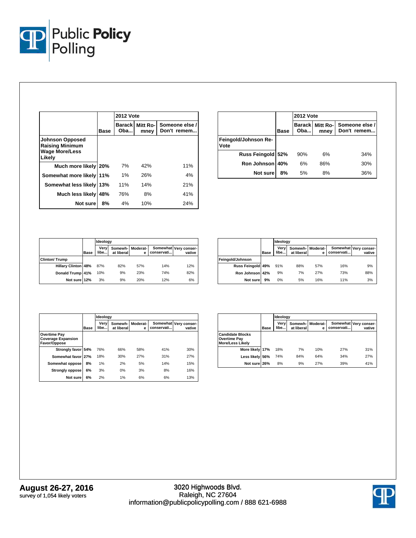

|                                                                                     |      | <b>2012 Vote</b>     |                  |                               |  |  |
|-------------------------------------------------------------------------------------|------|----------------------|------------------|-------------------------------|--|--|
|                                                                                     | Base | <b>Barack</b><br>Oba | Mitt Ro-<br>mney | Someone else /<br>Don't remem |  |  |
| <b>Johnson Opposed</b><br><b>Raising Minimum</b><br><b>Wage More/Less</b><br>Likely |      |                      |                  |                               |  |  |
| Much more likely                                                                    | 20%  | 7%                   | 42%              | 11%                           |  |  |
| Somewhat more likely 11%                                                            |      | 1%                   | 26%              | 4%                            |  |  |
| Somewhat less likely                                                                | 13%  | 11%                  | 14%              | 21%                           |  |  |
| Much less likely                                                                    | 48%  | 76%                  | 8%               | 41%                           |  |  |
| Not sure                                                                            | 8%   | 4%                   | 10%              | 24%                           |  |  |

|                              |             | <b>2012 Vote</b> |                         |                               |  |  |
|------------------------------|-------------|------------------|-------------------------|-------------------------------|--|--|
|                              | <b>Base</b> | Oba              | Barack Mitt Ro-<br>mney | Someone else /<br>Don't remem |  |  |
| Feingold/Johnson Re-<br>Vote |             |                  |                         |                               |  |  |
| Russ Feingold 52%            |             | 90%              | 6%                      | 34%                           |  |  |
| Ron Johnson 40%              |             | 6%               | 86%                     | 30%                           |  |  |
| Not sure                     | 8%          | 5%               | 8%                      | 36%                           |  |  |

|                            |             |              | Ideology   |                       |            |                                 |  |  |
|----------------------------|-------------|--------------|------------|-----------------------|------------|---------------------------------|--|--|
|                            | <b>Base</b> | Verv<br>libe | at liberal | Somewh- Moderat-<br>е | conservati | Somewhat Very conser-<br>vative |  |  |
| <b>Clinton/Trump</b>       |             |              |            |                       |            |                                 |  |  |
| <b>Hillary Clinton 48%</b> |             | 87%          | 82%        | 57%                   | 14%        | 12%                             |  |  |
| Donald Trump 41%           |             | 10%          | 9%         | 23%                   | 74%        | 82%                             |  |  |
| Not sure 12%               |             | 3%           | 9%         | 20%                   | 12%        | 6%                              |  |  |

|                   |             | Ideology     |            |                         |            |                                 |
|-------------------|-------------|--------------|------------|-------------------------|------------|---------------------------------|
|                   | <b>Base</b> | Verv<br>libe | at liberal | Somewh-I Moderat-I<br>е | conservati | Somewhat Very conser-<br>vative |
| Feingold/Johnson  |             |              |            |                         |            |                                 |
| Russ Feingold 49% |             | 91%          | 88%        | 57%                     | 16%        | 9%                              |
| Ron Johnson 42%   |             | 9%           | 7%         | 27%                     | 73%        | 88%                             |
| Not sure          | 9%          | 0%           | 5%         | 16%                     | 11%        | 3%                              |

|                                                           |      |              | Ideology              |               |            |                                 |  |  |  |
|-----------------------------------------------------------|------|--------------|-----------------------|---------------|------------|---------------------------------|--|--|--|
|                                                           | Base | Very<br>libe | Somewh-<br>at liberal | Moderat-<br>е | conservati | Somewhat Very conser-<br>vative |  |  |  |
| Overtime Pay<br><b>Coverage Expansion</b><br>Favor/Oppose |      |              |                       |               |            |                                 |  |  |  |
| Strongly favor 54%                                        |      | 76%          | 66%                   | 58%           | 41%        | 30%                             |  |  |  |
| Somewhat favor 27%                                        |      | 18%          | 30%                   | 27%           | 31%        | 27%                             |  |  |  |
| Somewhat oppose                                           | 8%   | 1%           | 2%                    | 5%            | 14%        | 15%                             |  |  |  |
| <b>Strongly oppose</b>                                    | 6%   | 3%           | 0%                    | 3%            | 8%         | 16%                             |  |  |  |
| Not sure                                                  | 6%   | 2%           | 1%                    | 6%            | 6%         | 13%                             |  |  |  |

|                                                                           |      |              | Ideology              |               |            |                                 |  |
|---------------------------------------------------------------------------|------|--------------|-----------------------|---------------|------------|---------------------------------|--|
|                                                                           | Base | Verv<br>libe | Somewh-<br>at liberal | Moderat-<br>е | conservati | Somewhat Very conser-<br>vative |  |
| <b>Candidate Blocks</b><br><b>Overtime Pay</b><br><b>More/Less Likely</b> |      |              |                       |               |            |                                 |  |
| More likely 17%                                                           |      | 18%          | 7%                    | 10%           | 27%        | 31%                             |  |
| Less likely 56%                                                           |      | 74%          | 84%                   | 64%           | 34%        | 27%                             |  |
| Not sure 26%                                                              |      | 8%           | 9%                    | <b>27%</b>    | 39%        | 41%                             |  |

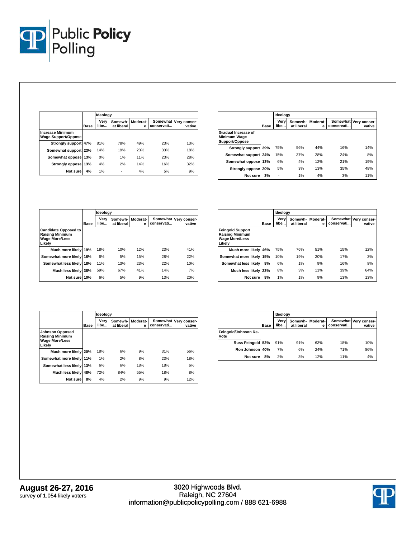

|                                                       |      | Ideology     |                       |               |            |                                 |  |
|-------------------------------------------------------|------|--------------|-----------------------|---------------|------------|---------------------------------|--|
|                                                       | Base | Very<br>libe | Somewh-<br>at liberal | Moderat-<br>e | conservati | Somewhat Very conser-<br>vative |  |
| <b>Increase Minimum</b><br><b>Wage Support/Oppose</b> |      |              |                       |               |            |                                 |  |
| Strongly support 47%                                  |      | 81%          | 78%                   | 49%           | 23%        | 13%                             |  |
| Somewhat support 23%                                  |      | 14%          | 19%                   | 23%           | 33%        | 18%                             |  |
| Somewhat oppose 13%                                   |      | 0%           | 1%                    | 11%           | 23%        | 28%                             |  |
| Strongly oppose 13%                                   |      | 4%           | 2%                    | 14%           | 16%        | 32%                             |  |
| Not sure                                              | 4%   | 1%           |                       | 4%            | 5%         | 9%                              |  |

|                                                       |      | Ideology     |                       |               |            |                                 |
|-------------------------------------------------------|------|--------------|-----------------------|---------------|------------|---------------------------------|
|                                                       | Base | Very<br>libe | Somewh-<br>at liberal | Moderat-<br>e | conservati | Somewhat Very conser-<br>vative |
| Gradual Increase of<br>Minimum Wage<br>Support/Oppose |      |              |                       |               |            |                                 |
| Strongly support 39%                                  |      | 75%          | 56%                   | 44%           | 16%        | 14%                             |
| Somewhat support 24%                                  |      | 15%          | 37%                   | 28%           | 24%        | 8%                              |
| Somewhat oppose 13%                                   |      | 6%           | 4%                    | 12%           | 21%        | 19%                             |
| Strongly oppose 20%                                   |      | 5%           | 3%                    | 13%           | 35%        | 48%                             |
| Not sure                                              | 3%   | ٠            | 1%                    | 4%            | 3%         | 11%                             |

|                                                                                          |      |              | Ideology              |               |            |                                 |  |  |
|------------------------------------------------------------------------------------------|------|--------------|-----------------------|---------------|------------|---------------------------------|--|--|
|                                                                                          | Base | Verv<br>libe | Somewh-<br>at liberal | Moderat-<br>е | conservati | Somewhat Very conser-<br>vative |  |  |
| <b>Candidate Opposed to</b><br><b>Raising Minimum</b><br><b>Wage More/Less</b><br>Likelv |      |              |                       |               |            |                                 |  |  |
| Much more likely 19%                                                                     |      | 18%          | 10%                   | 12%           | 23%        | 41%                             |  |  |
| Somewhat more likely 16%                                                                 |      | 6%           | 5%                    | 15%           | 28%        | 22%                             |  |  |
| Somewhat less likely 18%                                                                 |      | 11%          | 13%                   | 23%           | 22%        | 10%                             |  |  |
| Much less likely 38%                                                                     |      | 59%          | 67%                   | 41%           | 14%        | 7%                              |  |  |
| Not sure 10%                                                                             |      | 6%           | 5%                    | 9%            | 13%        | 20%                             |  |  |

|                                                                                      |      | Ideology     |                       |               |            |                                 |
|--------------------------------------------------------------------------------------|------|--------------|-----------------------|---------------|------------|---------------------------------|
|                                                                                      | Base | Very<br>libe | Somewh-<br>at liberal | Moderat-<br>е | conservati | Somewhat Very conser-<br>vative |
| <b>Feingold Support</b><br><b>Raising Minimum</b><br><b>Wage More/Less</b><br>Likelv |      |              |                       |               |            |                                 |
| Much more likely                                                                     | 46%  | 75%          | 76%                   | 51%           | 15%        | 12%                             |
| Somewhat more likely 15%                                                             |      | 10%          | 19%                   | 20%           | 17%        | 3%                              |
| Somewhat less likely                                                                 | 8%   | 6%           | 1%                    | 9%            | 16%        | 8%                              |
| Much less likely 23%                                                                 |      | 8%           | 3%                    | 11%           | 39%        | 64%                             |
| Not sure                                                                             | 8%   | 1%           | 1%                    | 9%            | 13%        | 13%                             |

|                                                                                     |      | Ideoloav     |                                |     |            |                                 |
|-------------------------------------------------------------------------------------|------|--------------|--------------------------------|-----|------------|---------------------------------|
|                                                                                     | Base | Very<br>libe | Somewh- Moderat-<br>at liberal | е   | conservati | Somewhat Very conser-<br>vative |
| <b>Johnson Opposed</b><br><b>Raising Minimum</b><br><b>Wage More/Less</b><br>Likelv |      |              |                                |     |            |                                 |
| Much more likely 20%                                                                |      | 18%          | 6%                             | 9%  | 31%        | 56%                             |
| Somewhat more likely 11%                                                            |      | 1%           | 2%                             | 8%  | 23%        | 18%                             |
| Somewhat less likely 13%                                                            |      | 6%           | 6%                             | 18% | 18%        | 6%                              |
| Much less likely 48%                                                                |      | 72%          | 84%                            | 55% | 18%        | 8%                              |
| Not sure                                                                            | 8%   | 4%           | 2%                             | 9%  | 9%         | 12%                             |

|                              |             | Ideology     |                       |               |            |                                 |
|------------------------------|-------------|--------------|-----------------------|---------------|------------|---------------------------------|
|                              | <b>Base</b> | Verv<br>libe | Somewh-<br>at liberal | Moderat-<br>е | conservati | Somewhat Very conser-<br>vative |
| Feingold/Johnson Re-<br>Vote |             |              |                       |               |            |                                 |
| Russ Feingold 52%            |             | 91%          | 91%                   | 63%           | 18%        | 10%                             |
| Ron Johnson 40%              |             | 7%           | 6%                    | 24%           | 71%        | 86%                             |
| Not sure                     | 8%          | 2%           | 3%                    | 12%           | 11%        | 4%                              |

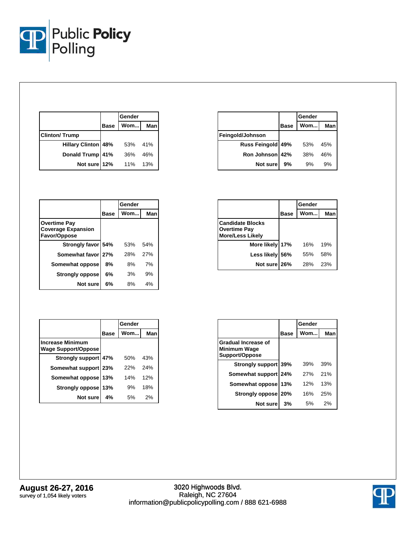

|                            |             | Gender |     |
|----------------------------|-------------|--------|-----|
|                            | <b>Base</b> | Wom    | Man |
| <b>Clinton/Trump</b>       |             |        |     |
| <b>Hillary Clinton 48%</b> |             | 53%    | 41% |
| <b>Donald Trump</b>        | 41%         | 36%    | 46% |
| Not sure 12%               |             | 11%    | 13% |

|                   |             | Gender |     |  |
|-------------------|-------------|--------|-----|--|
|                   | <b>Base</b> | Wom    | Man |  |
| Feingold/Johnson  |             |        |     |  |
| Russ Feingold 49% |             | 53%    | 45% |  |
| Ron Johnson 42%   |             | 38%    | 46% |  |
| Not sure          | 9%          | 9%     | 9%  |  |

|                                                                  |      | Gender     |     |  |
|------------------------------------------------------------------|------|------------|-----|--|
|                                                                  | Base | <b>Wom</b> | Man |  |
| <b>Overtime Pay</b><br><b>Coverage Expansion</b><br>Favor/Oppose |      |            |     |  |
| Strongly favor 54%                                               |      | 53%        | 54% |  |
| Somewhat favor 27%                                               |      | 28%        | 27% |  |
| Somewhat oppose                                                  | 8%   | 8%         | 7%  |  |
| <b>Strongly oppose</b>                                           | 6%   | 3%         | 9%  |  |
| Not sure                                                         | 6%   | 8%         | 4%  |  |

|                                                                           |             | Gender |     |
|---------------------------------------------------------------------------|-------------|--------|-----|
|                                                                           | <b>Base</b> | Wom    | Man |
| <b>Candidate Blocks</b><br><b>Overtime Pay</b><br><b>More/Less Likely</b> |             |        |     |
| More likely 17%                                                           |             | 16%    | 19% |
| Less likely 56%                                                           |             | 55%    | 58% |
| Not sure 26%                                                              |             | 28%    | 23% |

|                                                       |             | Gender |     |  |
|-------------------------------------------------------|-------------|--------|-----|--|
|                                                       | <b>Base</b> | Wom    | Man |  |
| <b>Increase Minimum</b><br><b>Wage Support/Oppose</b> |             |        |     |  |
| Strongly support 47%                                  |             | 50%    | 43% |  |
| Somewhat support 23%                                  |             | 22%    | 24% |  |
| Somewhat oppose                                       | 13%         | 14%    | 12% |  |
| Strongly oppose                                       | 13%         | 9%     | 18% |  |
| <b>Not sure</b>                                       | 4%          | .5%    | 2%  |  |

|                                                       |      | Gender |     |
|-------------------------------------------------------|------|--------|-----|
|                                                       | Base | Wom    | Man |
| Gradual Increase of<br>Minimum Wage<br>Support/Oppose |      |        |     |
| Strongly support 39%                                  |      | 39%    | 39% |
| Somewhat support 24%                                  |      | 27%    | 21% |
| Somewhat oppose 13%                                   |      | 12%    | 13% |
| Strongly oppose   20%                                 |      | 16%    | 25% |
| Not sure                                              | 3%   | 5%     | 2%  |

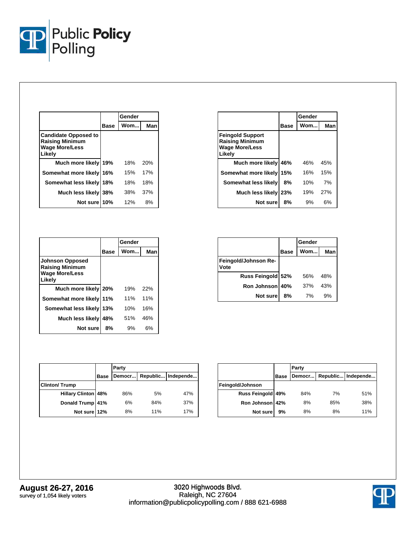

|                                                                                          |             | Gender |     |
|------------------------------------------------------------------------------------------|-------------|--------|-----|
|                                                                                          | <b>Base</b> | Wom    | Man |
| <b>Candidate Opposed to</b><br><b>Raising Minimum</b><br><b>Wage More/Less</b><br>Likely |             |        |     |
| Much more likely 19%                                                                     |             | 18%    | 20% |
| Somewhat more likely 16%                                                                 |             | 15%    | 17% |
| Somewhat less likely 18%                                                                 |             | 18%    | 18% |
| Much less likely 38%                                                                     |             | 38%    | 37% |
| Not sure 10%                                                                             |             | 12%    | 8%  |

|                                                                                     |             | Gender |     |
|-------------------------------------------------------------------------------------|-------------|--------|-----|
|                                                                                     | <b>Base</b> | Wom    | Man |
| <b>Johnson Opposed</b><br><b>Raising Minimum</b><br><b>Wage More/Less</b><br>Likely |             |        |     |
| Much more likely 20%                                                                |             | 19%    | 22% |
| Somewhat more likely 11%                                                            |             | 11%    | 11% |
| Somewhat less likely 13%                                                            |             | 10%    | 16% |
| Much less likely                                                                    | 48%         | 51%    | 46% |
| Not sure                                                                            | 8%          | 9%     | 6%  |

|                                                                               |      | Gender |     |  |
|-------------------------------------------------------------------------------|------|--------|-----|--|
|                                                                               | Base | Wom    | Man |  |
| <b>Feingold Support</b><br><b>Raising Minimum</b><br>Wage More/Less<br>Likely |      |        |     |  |
| Much more likely                                                              | 46%  | 46%    | 45% |  |
| Somewhat more likely                                                          | 15%  | 16%    | 15% |  |
| Somewhat less likely                                                          | 8%   | 10%    | 7%  |  |
| Much less likely                                                              | 23%  | 19%    | 27% |  |
| Not sure                                                                      | 8%   | 9%     | 6%  |  |

|                              |             | Gender |     |
|------------------------------|-------------|--------|-----|
|                              | <b>Base</b> | Wom    | Man |
| Feingold/Johnson Re-<br>/ote |             |        |     |
| Russ Feingold 52%            |             | 56%    | 48% |
| Ron Johnson 40%              |             | 37%    | 43% |
| Not sure                     | 8%          | 7%     | 9%  |

|                            |             | Party |     |                               |  |  |
|----------------------------|-------------|-------|-----|-------------------------------|--|--|
|                            | <b>Base</b> |       |     | Democr   Republic   Independe |  |  |
| <b>Clinton/Trump</b>       |             |       |     |                               |  |  |
| <b>Hillary Clinton 48%</b> |             | 86%   | 5%  | 47%                           |  |  |
| Donald Trump 41%           |             | 6%    | 84% | 37%                           |  |  |
| Not sure 12%               |             | 8%    | 11% | 17%                           |  |  |

|                   |             | Party |     |                               |  |  |
|-------------------|-------------|-------|-----|-------------------------------|--|--|
|                   | <b>Base</b> |       |     | Democr   Republic   Independe |  |  |
| Feingold/Johnson  |             |       |     |                               |  |  |
| Russ Feingold 49% |             | 84%   | 7%  | 51%                           |  |  |
| Ron Johnson 42%   |             | 8%    | 85% | 38%                           |  |  |
| Not sure          | 9%          | 8%    | 8%  | 11%                           |  |  |

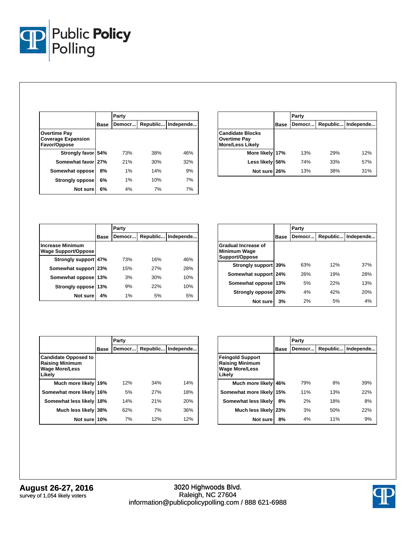

|                                                                  |      | Party  |     |                    |
|------------------------------------------------------------------|------|--------|-----|--------------------|
|                                                                  | Base | Democr |     | Republic Independe |
| <b>Overtime Pay</b><br><b>Coverage Expansion</b><br>Favor/Oppose |      |        |     |                    |
| Strongly favor                                                   | 54%  | 73%    | 38% | 46%                |
| Somewhat favor 27%                                               |      | 21%    | 30% | 32%                |
| Somewhat oppose                                                  | 8%   | 1%     | 14% | 9%                 |
| <b>Strongly oppose</b>                                           | 6%   | 1%     | 10% | 7%                 |
| Not sure                                                         | 6%   | 4%     | 7%  | 7%                 |

|                                                                           |      | Party  |     |                    |
|---------------------------------------------------------------------------|------|--------|-----|--------------------|
|                                                                           | Base | Democr |     | Republic Independe |
| <b>Candidate Blocks</b><br><b>Overtime Pay</b><br><b>More/Less Likely</b> |      |        |     |                    |
| More likely 17%                                                           |      | 13%    | 29% | 12%                |
| Less likely 56%                                                           |      | 74%    | 33% | 57%                |
| Not sure 26%                                                              |      | 13%    | 38% | 31%                |

|                                                |             | Party  |     |                      |  |  |
|------------------------------------------------|-------------|--------|-----|----------------------|--|--|
|                                                | <b>Base</b> | Democr |     | Republic   Independe |  |  |
| <b>Increase Minimum</b><br>Wage Support/Oppose |             |        |     |                      |  |  |
| Strongly support 47%                           |             | 73%    | 16% | 46%                  |  |  |
| Somewhat support 23%                           |             | 15%    | 27% | 28%                  |  |  |
| Somewhat oppose                                | 13%         | 3%     | 30% | 10%                  |  |  |
| Strongly oppose   13%                          |             | 9%     | 22% | 10%                  |  |  |
| Not sure                                       | 4%          | 1%     | 5%  | 5%                   |  |  |

|                                                              |      | Party                           |     |     |  |  |
|--------------------------------------------------------------|------|---------------------------------|-----|-----|--|--|
|                                                              | Base | Republic<br>Independe<br>Democr |     |     |  |  |
| Gradual Increase of<br><b>Minimum Wage</b><br>Support/Oppose |      |                                 |     |     |  |  |
| Strongly support 39%                                         |      | 63%                             | 12% | 37% |  |  |
| Somewhat support 24%                                         |      | 26%                             | 19% | 28% |  |  |
| Somewhat oppose                                              | 13%  | 5%                              | 22% | 13% |  |  |
| <b>Strongly oppose</b>                                       | 20%  | 4%                              | 42% | 20% |  |  |
| Not sure                                                     | 3%   | 2%                              | 5%  | 4%  |  |  |

|                                                                                          |             | Party  |     |                      |  |  |
|------------------------------------------------------------------------------------------|-------------|--------|-----|----------------------|--|--|
|                                                                                          | <b>Base</b> | Democr |     | Republic   Independe |  |  |
| <b>Candidate Opposed to</b><br><b>Raising Minimum</b><br><b>Wage More/Less</b><br>Likelv |             |        |     |                      |  |  |
| Much more likely                                                                         | 19%         | 12%    | 34% | 14%                  |  |  |
| Somewhat more likely                                                                     | 16%         | 5%     | 27% | 18%                  |  |  |
| Somewhat less likely                                                                     | 18%         | 14%    | 21% | 20%                  |  |  |
| Much less likely                                                                         | 38%         | 62%    | 7%  | 36%                  |  |  |
| Not sure 10%                                                                             |             | 7%     | 12% | 12%                  |  |  |

|                                                                                      |      | Party                        |     |     |
|--------------------------------------------------------------------------------------|------|------------------------------|-----|-----|
|                                                                                      | Base | Republic Independe<br>Democr |     |     |
| <b>Feingold Support</b><br><b>Raising Minimum</b><br><b>Wage More/Less</b><br>Likely |      |                              |     |     |
| Much more likely                                                                     | 46%  | 79%                          | 8%  | 39% |
| Somewhat more likely 15%                                                             |      | 11%                          | 13% | 22% |
| Somewhat less likely                                                                 | 8%   | 2%                           | 18% | 8%  |
| Much less likely                                                                     | 23%  | 3%                           | 50% | 22% |
| Not sure                                                                             | 8%   | 4%                           | 11% | 9%  |

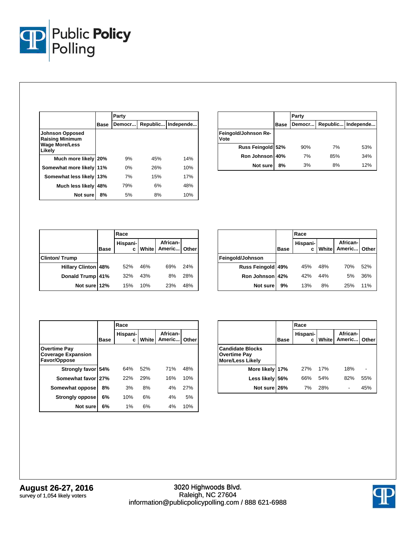

|                                                                                     |      | Party  |          |           |
|-------------------------------------------------------------------------------------|------|--------|----------|-----------|
|                                                                                     | Base | Democr | Republic | Independe |
| <b>Johnson Opposed</b><br><b>Raising Minimum</b><br><b>Wage More/Less</b><br>Likelv |      |        |          |           |
| Much more likely 20%                                                                |      | 9%     | 45%      | 14%       |
| Somewhat more likely                                                                | 11%  | 0%     | 26%      | 10%       |
| Somewhat less likely 13%                                                            |      | 7%     | 15%      | 17%       |
| <b>Much less likely</b>                                                             | 48%  | 79%    | 6%       | 48%       |
| Not sure                                                                            | 8%   | 5%     | 8%       | 10%       |

|                              |             | Party                        |     |     |  |  |
|------------------------------|-------------|------------------------------|-----|-----|--|--|
|                              | <b>Base</b> | Republic Independe<br>Democr |     |     |  |  |
| Feingold/Johnson Re-<br>Vote |             |                              |     |     |  |  |
| Russ Feingold 52%            |             | 90%                          | 7%  | 53% |  |  |
| Ron Johnson 40%              |             | 7%                           | 85% | 34% |  |  |
| Not sure                     | 8%          | 3%                           | 8%  | 12% |  |  |

|                            |             | Race          |       |                          |     |  |
|----------------------------|-------------|---------------|-------|--------------------------|-----|--|
|                            | <b>Base</b> | Hispani-<br>Ċ | White | African-<br>Americ Other |     |  |
| <b>Clinton/Trump</b>       |             |               |       |                          |     |  |
| <b>Hillary Clinton 48%</b> |             | 52%           | 46%   | 69%                      | 24% |  |
| Donald Trump 41%           |             | 32%           | 43%   | 8%                       | 28% |  |
| Not sure 12%               |             | 15%           | 10%   | 23%                      | 48% |  |

|                  |      | Race          |       |                    |       |  |  |
|------------------|------|---------------|-------|--------------------|-------|--|--|
|                  | Base | Hispani-<br>c | White | African-<br>Americ | Other |  |  |
| Feingold/Johnson |      |               |       |                    |       |  |  |
| Russ Feingold    | 49%  | 45%           | 48%   | 70%                | 52%   |  |  |
| Ron Johnson 42%  |      | 42%           | 44%   | 5%                 | 36%   |  |  |
| Not sure         | 9%   | 13%           | 8%    | 25%                | 11%   |  |  |

|                                                                  |             | Race          |       |                    |       |  |
|------------------------------------------------------------------|-------------|---------------|-------|--------------------|-------|--|
|                                                                  | <b>Base</b> | Hispani-<br>c | White | African-<br>Americ | Other |  |
| <b>Overtime Pay</b><br><b>Coverage Expansion</b><br>Favor/Oppose |             |               |       |                    |       |  |
| Strongly favor 54%                                               |             | 64%           | 52%   | 71%                | 48%   |  |
| Somewhat favor 27%                                               |             | 22%           | 29%   | 16%                | 10%   |  |
| Somewhat oppose                                                  | 8%          | 3%            | 8%    | 4%                 | 27%   |  |
| <b>Strongly oppose</b>                                           | 6%          | 10%           | 6%    | 4%                 | 5%    |  |
| Not sure                                                         | 6%          | 1%            | 6%    | 4%                 | 10%   |  |

|                                                                           |      | Race          |       |                    |       |  |
|---------------------------------------------------------------------------|------|---------------|-------|--------------------|-------|--|
|                                                                           | Base | Hispani-<br>c | White | African-<br>Americ | Other |  |
| <b>Candidate Blocks</b><br><b>Overtime Pay</b><br><b>More/Less Likely</b> |      |               |       |                    |       |  |
| More likely 17%                                                           |      | <b>27%</b>    | 17%   | 18%                |       |  |
| Less likely 56%                                                           |      | 66%           | 54%   | 82%                | 55%   |  |
| Not sure 26%                                                              |      | 7%            | 28%   |                    | 45%   |  |

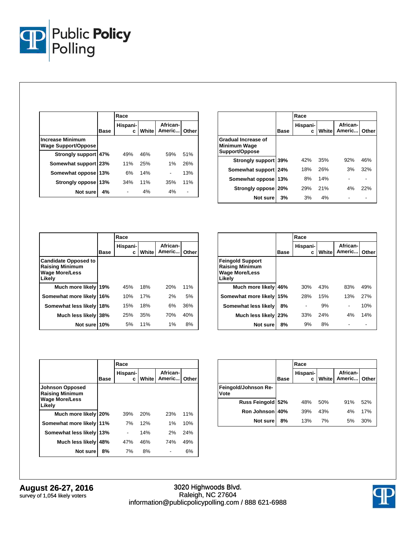

|                                                       |             | Race          |       |                    |       |
|-------------------------------------------------------|-------------|---------------|-------|--------------------|-------|
|                                                       | <b>Base</b> | Hispani-<br>c | White | African-<br>Americ | Other |
| <b>Increase Minimum</b><br><b>Wage Support/Oppose</b> |             |               |       |                    |       |
| Strongly support 47%                                  |             | 49%           | 46%   | 59%                | 51%   |
| Somewhat support   23%                                |             | 11%           | 25%   | 1%                 | 26%   |
| Somewhat oppose                                       | 13%         | 6%            | 14%   |                    | 13%   |
| Strongly oppose                                       | 13%         | 34%           | 11%   | 35%                | 11%   |
| Not sure                                              | 4%          |               | 4%    | 4%                 |       |

|                                                              |      | Race          |       |                    |       |  |
|--------------------------------------------------------------|------|---------------|-------|--------------------|-------|--|
|                                                              | Base | Hispani-<br>c | White | African-<br>Americ | Other |  |
| Gradual Increase of<br><b>Minimum Wage</b><br>Support/Oppose |      |               |       |                    |       |  |
| Strongly support 39%                                         |      | 42%           | 35%   | 92%                | 46%   |  |
| Somewhat support 24%                                         |      | 18%           | 26%   | 3%                 | 32%   |  |
| Somewhat oppose                                              | 13%  | 8%            | 14%   |                    |       |  |
| Strongly oppose                                              | 20%  | 29%           | 21%   | 4%                 | 22%   |  |
| Not sure                                                     | 3%   | 3%            | 4%    |                    |       |  |

|                                                                                          |      | Race          |       |                    |       |  |
|------------------------------------------------------------------------------------------|------|---------------|-------|--------------------|-------|--|
|                                                                                          | Base | Hispani-<br>c | White | African-<br>Americ | Other |  |
| <b>Candidate Opposed to</b><br><b>Raising Minimum</b><br><b>Wage More/Less</b><br>Likely |      |               |       |                    |       |  |
| Much more likely                                                                         | 19%  | 45%           | 18%   | 20%                | 11%   |  |
| Somewhat more likely 16%                                                                 |      | 10%           | 17%   | 2%                 | 5%    |  |
| Somewhat less likely                                                                     | 18%  | 15%           | 18%   | 6%                 | 36%   |  |
| Much less likely 38%                                                                     |      | 25%           | 35%   | 70%                | 40%   |  |
| Not sure                                                                                 | 10%  | 5%            | 11%   | 1%                 | 8%    |  |

|                                                                                      |             | Race          |       |                    |       |  |
|--------------------------------------------------------------------------------------|-------------|---------------|-------|--------------------|-------|--|
|                                                                                      | <b>Base</b> | Hispani-<br>с | White | African-<br>Americ | Other |  |
| <b>Feingold Support</b><br><b>Raising Minimum</b><br><b>Wage More/Less</b><br>Likely |             |               |       |                    |       |  |
| Much more likely                                                                     | 46%         | 30%           | 43%   | 83%                | 49%   |  |
| Somewhat more likely                                                                 | 15%         | 28%           | 15%   | 13%                | 27%   |  |
| Somewhat less likely                                                                 | 8%          |               | 9%    |                    | 10%   |  |
| Much less likely 23%                                                                 |             | 33%           | 24%   | 4%                 | 14%   |  |
| Not sure                                                                             | 8%          | 9%            | 8%    |                    |       |  |

|                                                                                     |             | Race          |              |                    |       |  |
|-------------------------------------------------------------------------------------|-------------|---------------|--------------|--------------------|-------|--|
|                                                                                     | <b>Base</b> | Hispani-<br>с | <b>White</b> | African-<br>Americ | Other |  |
| <b>Johnson Opposed</b><br><b>Raising Minimum</b><br><b>Wage More/Less</b><br>Likely |             |               |              |                    |       |  |
| Much more likely 20%                                                                |             | 39%           | 20%          | 23%                | 11%   |  |
| Somewhat more likely 11%                                                            |             | 7%            | 12%          | $1\%$              | 10%   |  |
| Somewhat less likely                                                                | 13%         |               | 14%          | 2%                 | 24%   |  |
| Much less likely                                                                    | 48%         | 47%           | 46%          | 74%                | 49%   |  |
| Not sure                                                                            | 8%          | 7%            | 8%           |                    | 6%    |  |

|                              |             | Race          |              |                          |     |  |  |
|------------------------------|-------------|---------------|--------------|--------------------------|-----|--|--|
|                              | <b>Base</b> | Hispani-<br>c | <b>White</b> | African-<br>Americ Other |     |  |  |
| Feingold/Johnson Re-<br>Vote |             |               |              |                          |     |  |  |
| Russ Feingold                | 52%         | 48%           | 50%          | 91%                      | 52% |  |  |
| Ron Johnson 40%              |             | 39%           | 43%          | 4%                       | 17% |  |  |
| Not sure                     | 8%          | 13%           | 7%           | 5%                       | 30% |  |  |

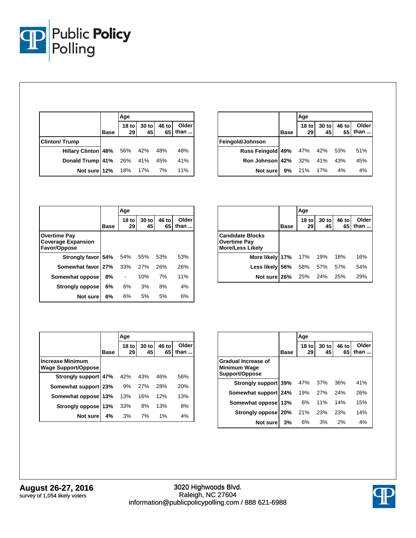

|                                 |             | Age           |                                    |               |
|---------------------------------|-------------|---------------|------------------------------------|---------------|
|                                 | <b>Base</b> | $18$ to<br>29 | $30 \text{ to } 46 \text{ to } 45$ | Older<br>than |
| <b>Clinton/Trump</b>            |             |               |                                    |               |
| Hillary Clinton 48% 56% 42% 48% |             |               |                                    | 48%           |
| Donald Trump 41% 26% 41% 45%    |             |               |                                    | 41%           |
| Not sure 12% 18% 17% 7%         |             |               |                                    | <b>11%</b>    |

|                                    |             | Age                    |               |             |               |
|------------------------------------|-------------|------------------------|---------------|-------------|---------------|
|                                    | <b>Base</b> | 18 <sub>to</sub><br>29 | $30$ to<br>45 | 46 to<br>65 | Older<br>than |
| Feingold/Johnson                   |             |                        |               |             |               |
| Russ Feingold 49% 47% 42% 53%      |             |                        |               |             | 51%           |
| <b>Ron Johnson 42%</b> 32% 41% 43% |             |                        |               |             | 45%           |
| Not sure                           |             | 9% 21%                 | 17%           | 4%          | 4%            |

|                                                                  |             | Age           |             |             |               |  |
|------------------------------------------------------------------|-------------|---------------|-------------|-------------|---------------|--|
|                                                                  | <b>Base</b> | $18$ to<br>29 | 30 to<br>45 | 46 to<br>65 | Older<br>than |  |
| <b>Overtime Pay</b><br><b>Coverage Expansion</b><br>Favor/Oppose |             |               |             |             |               |  |
| Strongly favor 54%                                               |             | 54%           | 55%         | 53%         | 53%           |  |
| Somewhat favor 27%                                               |             | 33%           | 27%         | 26%         | 26%           |  |
| Somewhat oppose                                                  | 8%          |               | 10%         | 7%          | 11%           |  |
| <b>Strongly oppose</b>                                           | 6%          | 6%            | 3%          | 8%          | 4%            |  |
| Not sure                                                         | 6%          | 6%            | 5%          | 5%          | 6%            |  |

|                                                                           |             | Age           |             |             |                       |
|---------------------------------------------------------------------------|-------------|---------------|-------------|-------------|-----------------------|
|                                                                           | <b>Base</b> | $18$ to<br>29 | 30 to<br>45 | 46 to<br>65 | Older<br>than $\dots$ |
| <b>Candidate Blocks</b><br><b>Overtime Pay</b><br><b>More/Less Likely</b> |             |               |             |             |                       |
| More likely 17%                                                           |             | 17%           | 19%         | 18%         | 16%                   |
| Less likely                                                               | 56%         | 58%           | 57%         | 57%         | 54%                   |
| Not sure 26%                                                              |             | 25%           | 24%         | 25%         | 29%                   |

|                                                       |             | Age                    |             |             |               |
|-------------------------------------------------------|-------------|------------------------|-------------|-------------|---------------|
|                                                       | <b>Base</b> | 18 <sub>to</sub><br>29 | 30 to<br>45 | 46 to<br>65 | Older<br>than |
| <b>Increase Minimum</b><br><b>Wage Support/Oppose</b> |             |                        |             |             |               |
| Strongly support 47%                                  |             | 42%                    | 43%         | 46%         | 56%           |
| Somewhat support 23%                                  |             | 9%                     | 27%         | 28%         | 20%           |
| Somewhat oppose                                       | 13%         | 13%                    | 16%         | 12%         | 13%           |
| Strongly oppose                                       | 13%         | 33%                    | 8%          | 13%         | 8%            |
| Not sure                                              | 4%          | 3%                     | 7%          | 1%          | 4%            |

|                                                       |      | Age                    |             |             |               |
|-------------------------------------------------------|------|------------------------|-------------|-------------|---------------|
|                                                       | Base | 18 <sub>to</sub><br>29 | 30 to<br>45 | 46 to<br>65 | Older<br>than |
| Gradual Increase of<br>Minimum Wage<br>Support/Oppose |      |                        |             |             |               |
| Strongly support 39%                                  |      | 47%                    | 37%         | 36%         | 41%           |
| Somewhat support 24%                                  |      | 19%                    | 27%         | 24%         | 26%           |
| Somewhat oppose                                       | 13%  | 6%                     | 11%         | 14%         | 15%           |
| Strongly oppose                                       | 20%  | 21%                    | 23%         | 23%         | 14%           |
| Not sure                                              | 3%   | 6%                     | 3%          | 2%          | 4%            |

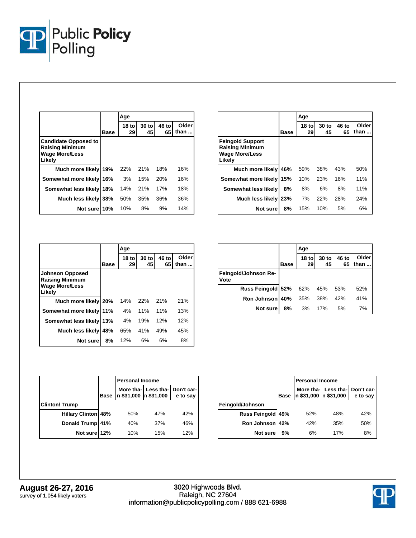

|                                                                                          |      | Age                    |             |             |               |
|------------------------------------------------------------------------------------------|------|------------------------|-------------|-------------|---------------|
|                                                                                          | Base | 18 <sub>to</sub><br>29 | 30 to<br>45 | 46 to<br>65 | Older<br>than |
| <b>Candidate Opposed to</b><br><b>Raising Minimum</b><br><b>Wage More/Less</b><br>Likely |      |                        |             |             |               |
| Much more likely                                                                         | 19%  | 22%                    | 21%         | 18%         | 16%           |
| Somewhat more likely                                                                     | 16%  | 3%                     | 15%         | 20%         | 16%           |
| Somewhat less likely                                                                     | 18%  | 14%                    | 21%         | 17%         | 18%           |
| Much less likely                                                                         | 38%  | 50%                    | 35%         | 36%         | 36%           |
| Not sure                                                                                 | 10%  | 10%                    | 8%          | 9%          | 14%           |

|                                                                                      |             | Age                    |             |             |               |
|--------------------------------------------------------------------------------------|-------------|------------------------|-------------|-------------|---------------|
|                                                                                      | <b>Base</b> | 18 <sub>to</sub><br>29 | 30 to<br>45 | 46 to<br>65 | Older<br>than |
| <b>Feingold Support</b><br><b>Raising Minimum</b><br><b>Wage More/Less</b><br>Likely |             |                        |             |             |               |
| Much more likely                                                                     | 46%         | 59%                    | 38%         | 43%         | 50%           |
| Somewhat more likely                                                                 | 15%         | 10%                    | 23%         | 16%         | 11%           |
| Somewhat less likely                                                                 | 8%          | 8%                     | 6%          | 8%          | 11%           |
| Much less likely                                                                     | 23%         | 7%                     | 22%         | 28%         | 24%           |
| Not sure                                                                             | 8%          | 15%                    | 10%         | 5%          | 6%            |

|                                                                                     |             | Age                    |             |             |                        |
|-------------------------------------------------------------------------------------|-------------|------------------------|-------------|-------------|------------------------|
|                                                                                     | <b>Base</b> | 18 <sub>to</sub><br>29 | 30 to<br>45 | 46 to<br>65 | Older<br>than $\ldots$ |
| <b>Johnson Opposed</b><br><b>Raising Minimum</b><br><b>Wage More/Less</b><br>Likely |             |                        |             |             |                        |
| Much more likely 20%                                                                |             | 14%                    | 22%         | 21%         | 21%                    |
| Somewhat more likely 11%                                                            |             | 4%                     | 11%         | 11%         | 13%                    |
| Somewhat less likely                                                                | 13%         | 4%                     | 19%         | 12%         | 12%                    |
| Much less likely                                                                    | 48%         | 65%                    | 41%         | 49%         | 45%                    |
| Not sure                                                                            | 8%          | 12%                    | 6%          | 6%          | 8%                     |

|                              |      | Age                    |               |             |               |  |
|------------------------------|------|------------------------|---------------|-------------|---------------|--|
|                              | Base | 18 <sub>to</sub><br>29 | $30$ to<br>45 | 46 to<br>65 | Older<br>than |  |
| Feingold/Johnson Re-<br>Vote |      |                        |               |             |               |  |
| Russ Feingold 52% 62% 45%    |      |                        |               | 53%         | 52%           |  |
| Ron Johnson 40%              |      | 35%                    | 38%           | 42%         | 41%           |  |
| Not sure                     | 8%   | 3%                     | 17%           | 5%          | 7%            |  |

|                            |             | <b>Personal Income</b> |     |                                            |  |  |
|----------------------------|-------------|------------------------|-----|--------------------------------------------|--|--|
|                            | <b>Base</b> | n \$31,000 n \$31,000  |     | More tha- Less tha- Don't car-<br>e to say |  |  |
| <b>Clinton/Trump</b>       |             |                        |     |                                            |  |  |
| <b>Hillary Clinton 48%</b> |             | 50%                    | 47% | 42%                                        |  |  |
| Donald Trump               | 41%         | 40%                    | 37% | 46%                                        |  |  |
| Not sure 12%               |             | 10%                    | 15% | 12%                                        |  |  |

|                      | <b>Personal Income</b> |     |     |                                                                                  |  |
|----------------------|------------------------|-----|-----|----------------------------------------------------------------------------------|--|
|                      | <b>Base</b>            |     |     | More tha- $\vert$ Less tha- $\vert$ Don't car-<br>n \$31,000 n \$31,000 e to say |  |
| Feingold/Johnson     |                        |     |     |                                                                                  |  |
| <b>Russ Feingold</b> | 49%                    | 52% | 48% | 42%                                                                              |  |
| Ron Johnson          | 42%                    | 42% | 35% | 50%                                                                              |  |
| Not sure             | 9%                     | 6%  | 17% | 8%                                                                               |  |

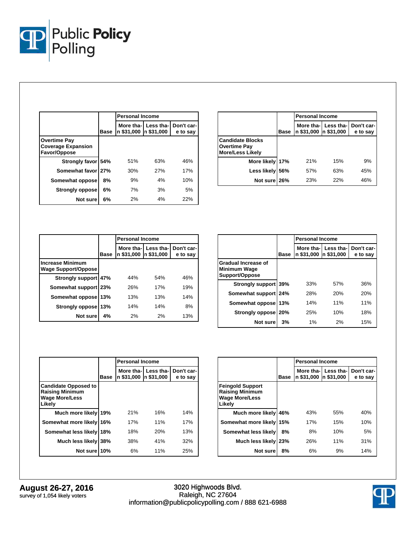

|                                                           |             | <b>Personal Income</b> |                    |                        |  |  |
|-----------------------------------------------------------|-------------|------------------------|--------------------|------------------------|--|--|
|                                                           | <b>Base</b> | n \$31,000  n \$31,000 | More tha-Less tha- | Don't car-<br>e to say |  |  |
| Overtime Pav<br><b>Coverage Expansion</b><br>Favor/Oppose |             |                        |                    |                        |  |  |
| Strongly favor 54%                                        |             | 51%                    | 63%                | 46%                    |  |  |
| Somewhat favor 27%                                        |             | 30%                    | 27%                | 17%                    |  |  |
| Somewhat oppose                                           | 8%          | 9%                     | 4%                 | 10%                    |  |  |
| <b>Strongly oppose</b>                                    | 6%          | 7%                     | 3%                 | 5%                     |  |  |
| Not sure                                                  | 6%          | 2%                     | 4%                 | 22%                    |  |  |

|                                                                           | <b>Personal Income</b> |                       |                                  |          |
|---------------------------------------------------------------------------|------------------------|-----------------------|----------------------------------|----------|
|                                                                           | <b>Base</b>            | n \$31,000 n \$31,000 | More tha-  Less tha-  Don't car- | e to say |
| <b>Candidate Blocks</b><br><b>Overtime Pay</b><br><b>More/Less Likely</b> |                        |                       |                                  |          |
| More likely 17%                                                           |                        | 21%                   | 15%                              | 9%       |
| Less likely                                                               | 56%                    | 57%                   | 63%                              | 45%      |
| Not sure 26%                                                              |                        | 23%                   | 22%                              | 46%      |

|                                                       |             | <b>Personal Income</b> |                                    |                        |  |
|-------------------------------------------------------|-------------|------------------------|------------------------------------|------------------------|--|
|                                                       | <b>Base</b> | n \$31,000             | More tha-I Less tha-<br>n \$31,000 | Don't car-<br>e to say |  |
| <b>Increase Minimum</b><br><b>Wage Support/Oppose</b> |             |                        |                                    |                        |  |
| Strongly support 47%                                  |             | 44%                    | 54%                                | 46%                    |  |
| Somewhat support 23%                                  |             | 26%                    | 17%                                | 19%                    |  |
| Somewhat oppose                                       | 13%         | 13%                    | 13%                                | 14%                    |  |
| Strongly oppose                                       | 13%         | 14%                    | 14%                                | 8%                     |  |
| Not sure                                              | 4%          | 2%                     | 2%                                 | 13%                    |  |

|                                                                     |             | <b>Personal Income</b>  |                         |                        |  |
|---------------------------------------------------------------------|-------------|-------------------------|-------------------------|------------------------|--|
|                                                                     | <b>Base</b> | More tha-<br>n \$31,000 | Less tha-<br>n \$31,000 | Don't car-<br>e to say |  |
| <b>Gradual Increase of</b><br><b>Minimum Wage</b><br>Support/Oppose |             |                         |                         |                        |  |
| Strongly support 39%                                                |             | 33%                     | 57%                     | 36%                    |  |
| Somewhat support 24%                                                |             | 28%                     | 20%                     | 20%                    |  |
| Somewhat oppose                                                     | 13%         | 14%                     | 11%                     | 11%                    |  |
| Strongly oppose                                                     | 20%         | 25%                     | 10%                     | 18%                    |  |
| Not sure                                                            | 3%          | 1%                      | 2%                      | 15%                    |  |

|                                                                                          | <b>Personal Income</b> |            |                                               |          |
|------------------------------------------------------------------------------------------|------------------------|------------|-----------------------------------------------|----------|
|                                                                                          | Base                   | n \$31.000 | More tha- Less tha- Don't car-<br>In \$31,000 | e to say |
| <b>Candidate Opposed to</b><br><b>Raising Minimum</b><br><b>Wage More/Less</b><br>Likelv |                        |            |                                               |          |
| Much more likely                                                                         | 19%                    | 21%        | 16%                                           | 14%      |
| Somewhat more likely                                                                     | 16%                    | 17%        | 11%                                           | 17%      |
| Somewhat less likely                                                                     | 18%                    | 18%        | 20%                                           | 13%      |
| Much less likely                                                                         | 38%                    | 38%        | 41%                                           | 32%      |
| Not sure                                                                                 | 10%                    | 6%         | 11%                                           | 25%      |

|                                                                                      |             | <b>Personal Income</b> |                                               |          |  |
|--------------------------------------------------------------------------------------|-------------|------------------------|-----------------------------------------------|----------|--|
|                                                                                      | <b>Base</b> | n \$31,000             | More tha- Less tha- Don't car-<br>In \$31,000 | e to say |  |
| <b>Feingold Support</b><br><b>Raising Minimum</b><br><b>Wage More/Less</b><br>Likely |             |                        |                                               |          |  |
| Much more likely                                                                     | 46%         | 43%                    | 55%                                           | 40%      |  |
| Somewhat more likely                                                                 | 15%         | 17%                    | 15%                                           | 10%      |  |
| Somewhat less likely                                                                 | 8%          | 8%                     | 10%                                           | 5%       |  |
| Much less likely                                                                     | 23%         | 26%                    | 11%                                           | 31%      |  |
| Not sure                                                                             | 8%          | 6%                     | 9%                                            | 14%      |  |

**August 26-27, 2016** survey of 1,054 likely voters

3020 Highwoods Blvd. Raleigh, NC 27604 information@publicpolicypolling.com / 888 621-6988

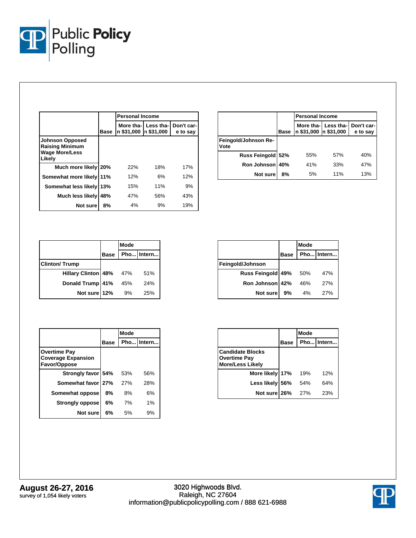

|                                                                                     |      | <b>Personal Income</b> |                                               |          |  |
|-------------------------------------------------------------------------------------|------|------------------------|-----------------------------------------------|----------|--|
|                                                                                     | Base | n \$31,000             | More tha- Less tha- Don't car-<br>In \$31,000 | e to say |  |
| <b>Johnson Opposed</b><br><b>Raising Minimum</b><br><b>Wage More/Less</b><br>Likely |      |                        |                                               |          |  |
| Much more likely 20%                                                                |      | 22%                    | 18%                                           | 17%      |  |
| Somewhat more likely                                                                | 11%  | 12%                    | 6%                                            | 12%      |  |
| Somewhat less likely                                                                | 13%  | 15%                    | 11%                                           | 9%       |  |
| Much less likely                                                                    | 48%  | 47%                    | 56%                                           | 43%      |  |
| Not sure                                                                            | 8%   | 4%                     | 9%                                            | 19%      |  |

|                              |             | <b>Personal Income</b> |     |                                            |
|------------------------------|-------------|------------------------|-----|--------------------------------------------|
|                              | <b>Base</b> | n \$31,000 n \$31,000  |     | More tha- Less tha- Don't car-<br>e to say |
| Feingold/Johnson Re-<br>Vote |             |                        |     |                                            |
| Russ Feingold 52%            |             | 55%                    | 57% | 40%                                        |
| Ron Johnson 40%              |             | 41%                    | 33% | 47%                                        |
| <b>Not sure</b>              | 8%          | 5%                     | 11% | 13%                                        |

|                            |             | Mode |            |
|----------------------------|-------------|------|------------|
|                            | <b>Base</b> |      | Pho Intern |
| <b>Clinton/Trump</b>       |             |      |            |
| <b>Hillary Clinton 48%</b> |             | 47%  | 51%        |
| Donald Trump 41%           |             | 45%  | 24%        |
| Not sure 12%               |             | 9%   | 25%        |

|                   |             | Mode |            |
|-------------------|-------------|------|------------|
|                   | <b>Base</b> |      | Pho Intern |
| Feingold/Johnson  |             |      |            |
| Russ Feingold 49% |             | 50%  | 47%        |
| Ron Johnson 42%   |             | 46%  | 27%        |
| Not sure          | 9%          | 4%   | 27%        |

|                                                                  |      | Mode |            |
|------------------------------------------------------------------|------|------|------------|
|                                                                  | Base |      | Pho Intern |
| <b>Overtime Pay</b><br><b>Coverage Expansion</b><br>Favor/Oppose |      |      |            |
| Strongly favor 54%                                               |      | 53%  | 56%        |
| Somewhat favor 27%                                               |      | 27%  | 28%        |
| Somewhat oppose                                                  | 8%   | 8%   | 6%         |
| <b>Strongly oppose</b>                                           | 6%   | 7%   | 1%         |
| Not sure                                                         | 6%   | 5%   | 9%         |

|                                                                    |             | Mode |            |
|--------------------------------------------------------------------|-------------|------|------------|
|                                                                    | <b>Base</b> |      | Pho Intern |
| Candidate Blocks<br><b>Overtime Pay</b><br><b>More/Less Likely</b> |             |      |            |
| More likely 17%                                                    |             | 19%  | 12%        |
| Less likely 56%                                                    |             | 54%  | 64%        |
| Not sure 26%                                                       |             | 27%  | 23%        |